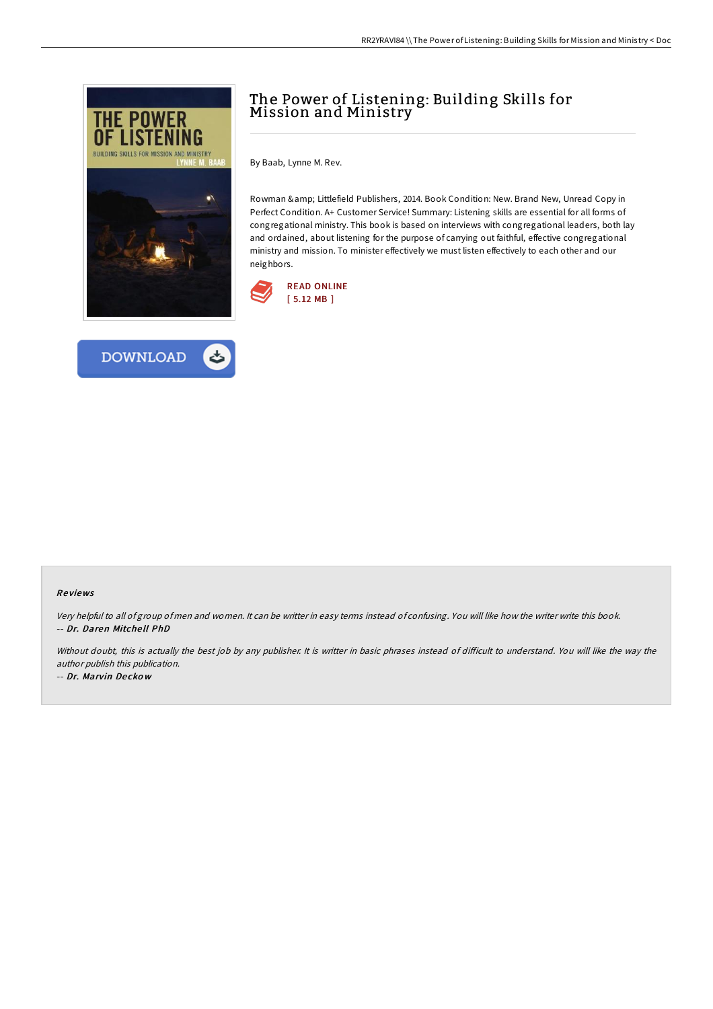



# The Power of Listening: Building Skills for Mission and Ministry

By Baab, Lynne M. Rev.

Rowman & amp; Littlefield Publishers, 2014. Book Condition: New. Brand New, Unread Copy in Perfect Condition. A+ Customer Service! Summary: Listening skills are essential for all forms of congregational ministry. This book is based on interviews with congregational leaders, both lay and ordained, about listening for the purpose of carrying out faithful, effective congregational ministry and mission. To minister effectively we must listen effectively to each other and our neighbors.



#### Re views

Very helpful to all of group of men and women. It can be writter in easy terms instead of confusing. You will like how the writer write this book. -- Dr. Daren Mitche ll PhD

Without doubt, this is actually the best job by any publisher. It is writter in basic phrases instead of difficult to understand. You will like the way the author publish this publication.

-- Dr. Marvin De cko <sup>w</sup>